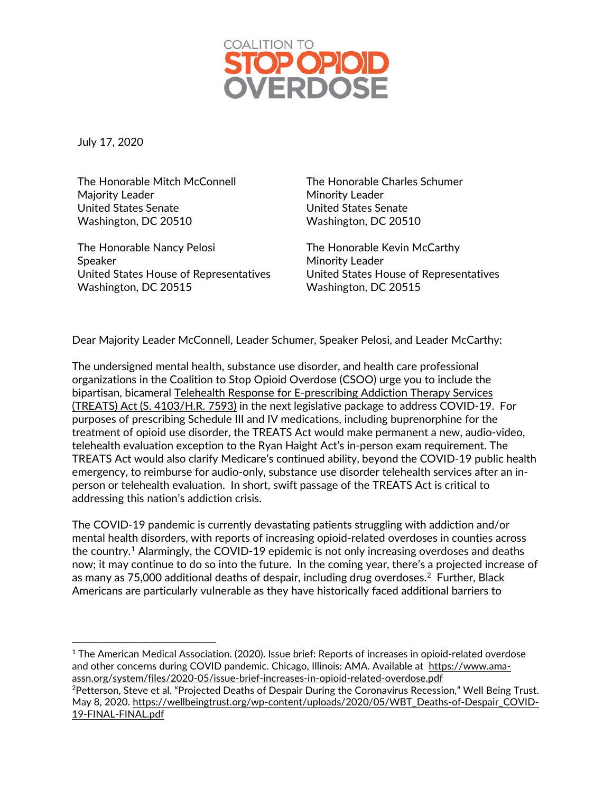

July 17, 2020

 $\overline{a}$ 

The Honorable Mitch McConnell Majority Leader United States Senate Washington, DC 20510

The Honorable Nancy Pelosi Speaker United States House of Representatives Washington, DC 20515

The Honorable Charles Schumer Minority Leader United States Senate Washington, DC 20510

The Honorable Kevin McCarthy Minority Leader United States House of Representatives Washington, DC 20515

Dear Majority Leader McConnell, Leader Schumer, Speaker Pelosi, and Leader McCarthy:

The undersigned mental health, substance use disorder, and health care professional organizations in the Coalition to Stop Opioid Overdose (CSOO) urge you to include the bipartisan, bicameral Telehealth Response for [E-prescribing](https://www.congress.gov/bill/116th-congress/senate-bill/4103/text) Addiction Therapy Services (TREATS) Act (S. [4103/H.R.](https://www.congress.gov/bill/116th-congress/senate-bill/4103/text) 7593) in the next legislative package to address COVID-19. For purposes of prescribing Schedule III and IV medications, including buprenorphine for the treatment of opioid use disorder, the TREATS Act would make permanent a new, audio-video, telehealth evaluation exception to the Ryan Haight Act's in-person exam requirement. The TREATS Act would also clarify Medicare's continued ability, beyond the COVID-19 public health emergency, to reimburse for audio-only, substance use disorder telehealth services after an inperson or telehealth evaluation. In short, swift passage of the TREATS Act is critical to addressing this nation's addiction crisis.

The COVID-19 pandemic is currently devastating patients struggling with addiction and/or mental health disorders, with reports of increasing opioid-related overdoses in counties across the country.<sup>[1](#page-0-0)</sup> Alarmingly, the COVID-19 epidemic is not only increasing overdoses and deaths now; it may continue to do so into the future. In the coming year, there's a projected increase of as many as 75,000 additional deaths of despair, including drug overdoses. [2](#page-0-1) Further, Black Americans are particularly vulnerable as they have historically faced additional barriers to

<span id="page-0-0"></span> $1$  The American Medical Association. (2020). Issue brief: Reports of increases in opioid-related overdose and other concerns during COVID pandemic. Chicago, Illinois: AMA. Available at [https://www.ama](https://www.ama-assn.org/system/files/2020-05/issue-brief-increases-in-opioid-related-overdose.pdf)[assn.org/system/files/2020-05/issue-brief-increases-in-opioid-related-overdose.pdf](https://www.ama-assn.org/system/files/2020-05/issue-brief-increases-in-opioid-related-overdose.pdf)

<span id="page-0-1"></span><sup>2</sup>Petterson, Steve et al. "Projected Deaths of Despair During the Coronavirus Recession," Well Being Trust. May 8, 2020. [https://wellbeingtrust.org/wp-content/uploads/2020/05/WBT\\_Deaths-of-Despair\\_COVID-](https://wellbeingtrust.org/wp-content/uploads/2020/05/WBT_Deaths-of-Despair_COVID-19-FINAL-FINAL.pdf)[19-FINAL-FINAL.pdf](https://wellbeingtrust.org/wp-content/uploads/2020/05/WBT_Deaths-of-Despair_COVID-19-FINAL-FINAL.pdf)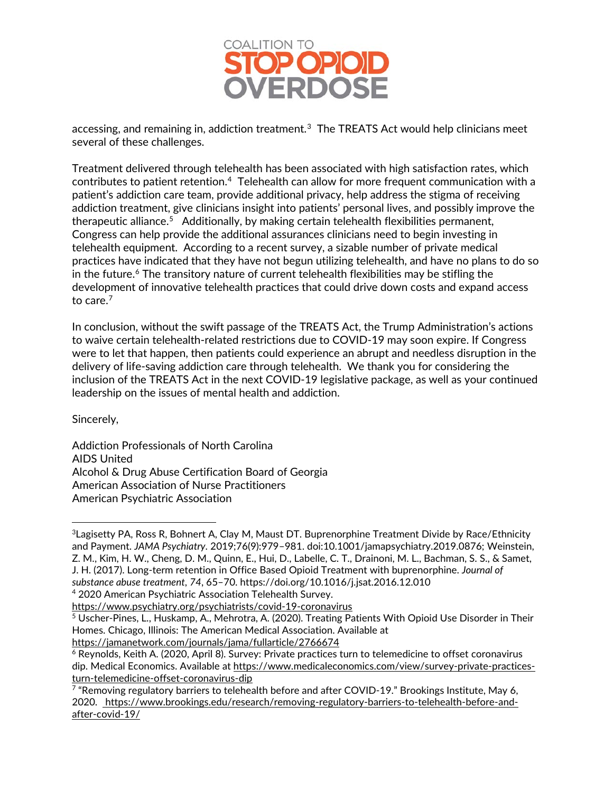

accessing, and remaining in, addiction treatment.<sup>[3](#page-1-0)</sup> The TREATS Act would help clinicians meet several of these challenges.

Treatment delivered through telehealth has been associated with high satisfaction rates, which contributes to patient retention. $\rm ^4$  Telehealth can allow for more frequent communication with a patient's addiction care team, provide additional privacy, help address the stigma of receiving addiction treatment, give clinicians insight into patients' personal lives, and possibly improve the therapeutic alliance.<sup>[5](#page-1-2)</sup> Additionally, by making certain telehealth flexibilities permanent, Congress can help provide the additional assurances clinicians need to begin investing in telehealth equipment. According to a recent survey, a sizable number of private medical practices have indicated that they have not begun utilizing telehealth, and have no plans to do so in the future. $6$  The transitory nature of current telehealth flexibilities may be stifling the development of innovative telehealth practices that could drive down costs and expand access to care. $7$ 

In conclusion, without the swift passage of the TREATS Act, the Trump Administration's actions to waive certain telehealth-related restrictions due to COVID-19 may soon expire. If Congress were to let that happen, then patients could experience an abrupt and needless disruption in the delivery of life-saving addiction care through telehealth. We thank you for considering the inclusion of the TREATS Act in the next COVID-19 legislative package, as well as your continued leadership on the issues of mental health and addiction.

Sincerely,

 $\overline{a}$ 

Addiction Professionals of North Carolina AIDS United Alcohol & Drug Abuse Certification Board of Georgia American Association of Nurse Practitioners American Psychiatric Association

<span id="page-1-0"></span><sup>&</sup>lt;sup>3</sup> Lagisetty PA, Ross R, Bohnert A, Clay M, Maust DT. Buprenorphine Treatment Divide by Race/Ethnicity and Payment. *JAMA Psychiatry.* 2019;76(9):979–981. doi:10.1001/jamapsychiatry.2019.0876; Weinstein, Z. M., Kim, H. W., Cheng, D. M., Quinn, E., Hui, D., Labelle, C. T., Drainoni, M. L., Bachman, S. S., & Samet, J. H. (2017). Long-term retention in Office Based Opioid Treatment with buprenorphine. *Journal of substance abuse treatment*, *74*, 65–70. https://doi.org/10.1016/j.jsat.2016.12.010

<span id="page-1-1"></span><sup>4</sup> 2020 American Psychiatric Association Telehealth Survey.

<https://www.psychiatry.org/psychiatrists/covid-19-coronavirus>

<span id="page-1-2"></span><sup>5</sup> Uscher-Pines, L., Huskamp, A., Mehrotra, A. (2020). Treating Patients With Opioid Use Disorder in Their Homes. Chicago, Illinois: The American Medical Association. Available at <https://jamanetwork.com/journals/jama/fullarticle/2766674>

<span id="page-1-3"></span><sup>6</sup> Reynolds, Keith A. (2020, April 8). Survey: Private practices turn to telemedicine to offset coronavirus dip. Medical Economics. Available at [https://www.medicaleconomics.com/view/survey-private-practices](https://www.medicaleconomics.com/view/survey-private-practices-turn-telemedicine-offset-coronavirus-dip)[turn-telemedicine-offset-coronavirus-dip](https://www.medicaleconomics.com/view/survey-private-practices-turn-telemedicine-offset-coronavirus-dip)

<span id="page-1-4"></span> $7$  "Removing regulatory barriers to telehealth before and after COVID-19." Brookings Institute, May 6, 2020. [https://www.brookings.edu/research/removing-regulatory-barriers-to-telehealth-before-and](https://www.brookings.edu/research/removing-regulatory-barriers-to-telehealth-before-and-after-covid-19/)[after-covid-19/](https://www.brookings.edu/research/removing-regulatory-barriers-to-telehealth-before-and-after-covid-19/)